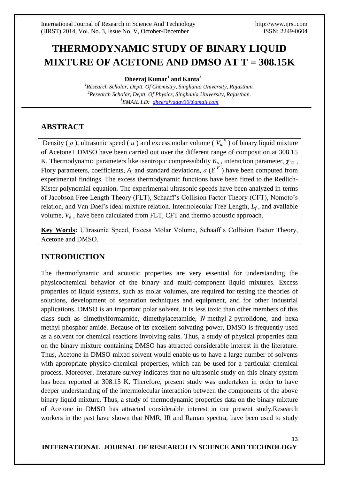# **THERMODYNAMIC STUDY OF BINARY LIQUID MIXTURE OF ACETONE AND DMSO AT T = 308.15K**

**Dheeraj Kumar<sup>1</sup> and Kanta<sup>2</sup>**

*<sup>1</sup>Research Scholar, Deptt. Of Chemistry, Singhania University, Rajasthan. <sup>2</sup>Research Scholar, Deptt. Of Physics, Singhania University, Rajasthan. <sup>1</sup>EMAIL I.D: [dheerajyadav30@gmail.com](mailto:dheerajyadav30@gmail.com)*

### **ABSTRACT**

Density ( $\rho$ ), ultrasonic speed ( $u$ ) and excess molar volume ( $V_m^E$ ) of binary liquid mixture of Acetone+ DMSO have been carried out over the different range of composition at 308.15 K. Thermodynamic parameters like isentropic compressibility  $K_s$ , interaction parameter,  $\gamma_{12}$ , Flory parameters, coefficients,  $A_i$  and standard deviations,  $\sigma(Y^E)$  have been computed from experimental findings. The excess thermodynamic functions have been fitted to the Redlich-Kister polynomial equation. The experimental ultrasonic speeds have been analyzed in terms of Jacobson Free Length Theory (FLT), Schaaff's Collision Factor Theory (CFT), Nomoto's relation, and Van Dael's ideal mixture relation. Intermolecular Free Length, *L<sup>f</sup>* , and available volume,  $V_a$ , have been calculated from FLT, CFT and thermo acoustic approach.

**Key Words:** Ultrasonic Speed, Excess Molar Volume, Schaaff's Collision Factor Theory, Acetone and DMSO.

## **INTRODUCTION**

The thermodynamic and acoustic properties are very essential for understanding the physicochemical behavior of the binary and multi-component liquid mixtures. Excess properties of liquid systems, such as molar volumes, are required for testing the theories of solutions, development of separation techniques and equipment, and for other industrial applications. DMSO is an important polar solvent. It is less toxic than other members of this class such as dimethylformamide, dimethylacetamide, *N*-methyl-2-pyrrolidone, and hexa methyl phosphor amide. Because of its excellent solvating power, DMSO is frequently used as a solvent for chemical reactions involving salts. Thus, a study of physical properties data on the binary mixture containing DMSO has attracted considerable interest in the literature. Thus, Acetone in DMSO mixed solvent would enable us to have a large number of solvents with appropriate physico-chemical properties, which can be used for a particular chemical process. Moreover, literature survey indicates that no ultrasonic study on this binary system has been reported at 308.15 K. Therefore, present study was undertaken in order to have deeper understanding of the intermolecular interaction between the components of the above binary liquid mixture. Thus, a study of thermodynamic properties data on the binary mixture of Acetone in DMSO has attracted considerable interest in our present study.Research workers in the past have shown that NMR, IR and Raman spectra, have been used to study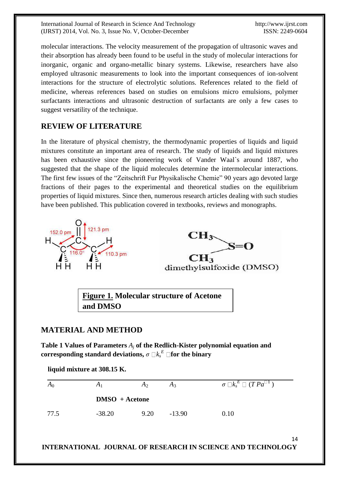International Journal of Research in Science And Technology http://www.ijrst.com (IJRST) 2014, Vol. No. 3, Issue No. V, October-December ISSN: 2249-0604

14

molecular interactions. The velocity measurement of the propagation of ultrasonic waves and their absorption has already been found to be useful in the study of molecular interactions for inorganic, organic and organo-metallic binary systems. Likewise, researchers have also employed ultrasonic measurements to look into the important consequences of ion-solvent interactions for the structure of electrolytic solutions. References related to the field of medicine, whereas references based on studies on emulsions micro emulsions, polymer surfactants interactions and ultrasonic destruction of surfactants are only a few cases to suggest versatility of the technique.

# **REVIEW OF LITERATURE**

In the literature of physical chemistry, the thermodynamic properties of liquids and liquid mixtures constitute an important area of research. The study of liquids and liquid mixtures has been exhaustive since the pioneering work of Vander Waal`s around 1887, who suggested that the shape of the liquid molecules determine the intermolecular interactions. The first few issues of the "Zeitschrift Fur Physikalische Chemie" 90 years ago devoted large fractions of their pages to the experimental and theoretical studies on the equilibrium properties of liquid mixtures. Since then, numerous research articles dealing with such studies have been published. This publication covered in textbooks, reviews and monographs.



**Figure 1. Molecular structure of Acetone and DMSO**

## **MATERIAL AND METHOD**

**Table 1 Values of Parameters** *A<sup>j</sup>* **of the Redlich-Kister polynomial equation and**   $\textbf{corresponding standard deviations, } \sigma\ \Box k_{s}^{\ E}\ \Box \textbf{for the binary}$ 

**liquid mixture at 308.15 K.**  $A_0$  *A*<sub>1</sub> *A*<sub>2</sub> *A*<sub>3</sub> *σ*  $\Box k_s$  $\stackrel{E}{\Box}$   $(T \, Pa^{\Box\, 1}\,)$  **DMSO + Acetone** 77.5 -38.20 9.20 -13.90 0.10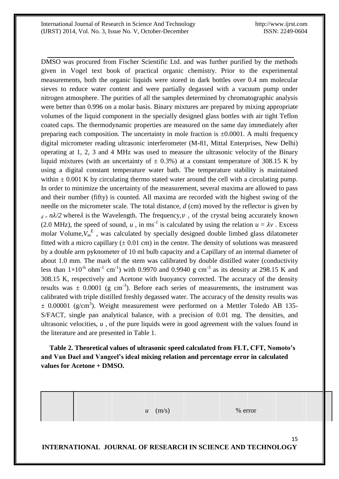DMSO was procured from Fischer Scientific Ltd. and was further purified by the methods given in Vogel text book of practical organic chemistry. Prior to the experimental measurements, both the organic liquids were stored in dark bottles over 0.4 nm molecular sieves to reduce water content and were partially degassed with a vacuum pump under nitrogen atmosphere. The purities of all the samples determined by chromatographic analysis were better than 0.996 on a molar basis. Binary mixtures are prepared by mixing appropriate volumes of the liquid component in the specially designed glass bottles with air tight Teflon coated caps. The thermodynamic properties are measured on the same day immediately after preparing each composition. The uncertainty in mole fraction is  $\pm 0.0001$ . A multi frequency digital micrometer reading ultrasonic interferometer (M-81, Mittal Enterprises, New Delhi) operating at 1, 2, 3 and 4 MHz was used to measure the ultrasonic velocity of the Binary liquid mixtures (with an uncertainty of  $\pm$  0.3%) at a constant temperature of 308.15 K by using a digital constant temperature water bath. The temperature stability is maintained within  $\pm$  0.001 K by circulating thermo stated water around the cell with a circulating pump. In order to minimize the uncertainty of the measurement, several maxima are allowed to pass and their number (fifty) is counted. All maxima are recorded with the highest swing of the needle on the micrometer scale. The total distance, *d* (cm) moved by the reflector is given by  $d = n\lambda/2$  where  $\lambda$  is the Wavelength. The frequency, v, of the crystal being accurately known (2.0 MHz), the speed of sound, *u*, in ms<sup>-1</sup> is calculated by using the relation  $u = \lambda v$ . Excess molar Volume, $V_m^E$ , was calculated by specially designed double limbed glass dilatometer fitted with a micro capillary  $(\pm 0.01 \text{ cm})$  in the centre. The density of solutions was measured by a double arm pyknometer of 10 ml bulb capacity and a Capillary of an internal diameter of about 1.0 mm. The mark of the stem was calibrated by double distilled water (conductivity less than  $1\times10^{-6}$  ohm<sup>-1</sup> cm<sup>-1</sup>) with 0.9970 and 0.9940 g cm<sup>-3</sup> as its density at 298.15 K and 308.15 K, respectively and Acetone with buoyancy corrected. The accuracy of the density results was  $\pm$  0.0001 (g cm<sup>-3</sup>). Before each series of measurements, the instrument was calibrated with triple distilled freshly degassed water. The accuracy of the density results was  $\pm$  0.00001 (g/cm<sup>3</sup>). Weight measurement were performed on a Mettler Toledo AB 135-S/FACT, single pan analytical balance, with a precision of 0.01 mg. The densities, and ultrasonic velocities, *u* , of the pure liquids were in good agreement with the values found in the literature and are presented in Table 1.

 **Table 2. Theoretical values of ultrasonic speed calculated from FLT, CFT, Nomoto's and Van Dael and Vangeel's ideal mixing relation and percentage error in calculated values for Acetone + DMSO.**

 $u \cdot (m/s)$  % error

15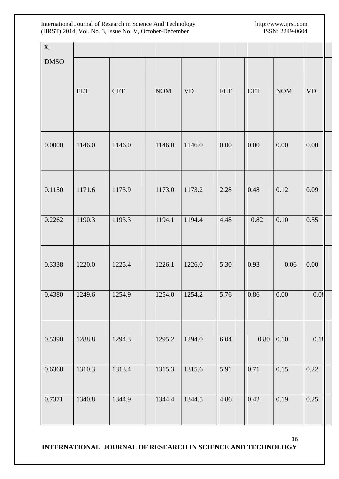| $X_1$       |            |            |            |           |            |            |            |                        |
|-------------|------------|------------|------------|-----------|------------|------------|------------|------------------------|
| <b>DMSO</b> | <b>FLT</b> | <b>CFT</b> | <b>NOM</b> | <b>VD</b> | <b>FLT</b> | <b>CFT</b> | <b>NOM</b> | $\mathbf{V}\mathbf{D}$ |
| 0.0000      | 1146.0     | 1146.0     | 1146.0     | 1146.0    | 0.00       | 0.00       | 0.00       | $0.00\,$               |
| 0.1150      | 1171.6     | 1173.9     | 1173.0     | 1173.2    | 2.28       | 0.48       | 0.12       | 0.09                   |
| 0.2262      | 1190.3     | 1193.3     | 1194.1     | 1194.4    | 4.48       | 0.82       | 0.10       | 0.55                   |
| 0.3338      | 1220.0     | 1225.4     | 1226.1     | 1226.0    | 5.30       | 0.93       | 0.06       | 0.00                   |
| 0.4380      | 1249.6     | 1254.9     | 1254.0     | 1254.2    | 5.76       | 0.86       | $0.00\,$   | 0.03                   |
| 0.5390      | 1288.8     | 1294.3     | 1295.2     | 1294.0    | 6.04       | $0.80\,$   | 0.10       | 0.1                    |
| 0.6368      | 1310.3     | 1313.4     | 1315.3     | 1315.6    | 5.91       | 0.71       | 0.15       | 0.22                   |
| 0.7371      | 1340.8     | 1344.9     | 1344.4     | 1344.5    | 4.86       | 0.42       | 0.19       | 0.25                   |

16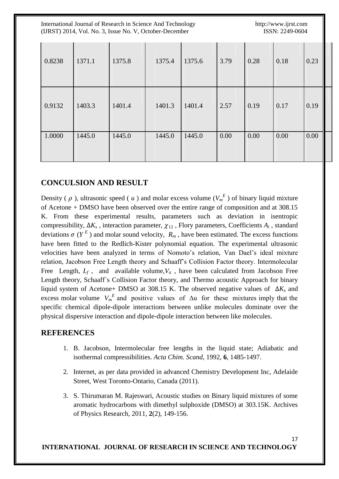| International Journal of Research in Science And Technology<br>(IJRST) 2014, Vol. No. 3, Issue No. V, October-December |        |        |        |        |      |      | http://www.ijrst.com<br>ISSN: 2249-0604 |      |  |  |
|------------------------------------------------------------------------------------------------------------------------|--------|--------|--------|--------|------|------|-----------------------------------------|------|--|--|
| 0.8238                                                                                                                 | 1371.1 | 1375.8 | 1375.4 | 1375.6 | 3.79 | 0.28 | 0.18                                    | 0.23 |  |  |
| 0.9132                                                                                                                 | 1403.3 | 1401.4 | 1401.3 | 1401.4 | 2.57 | 0.19 | 0.17                                    | 0.19 |  |  |
| 1.0000                                                                                                                 | 1445.0 | 1445.0 | 1445.0 | 1445.0 | 0.00 | 0.00 | 0.00                                    | 0.00 |  |  |

### **CONCULSION AND RESULT**

Density ( $\rho$ ), ultrasonic speed ( $u$ ) and molar excess volume ( $V_m^E$ ) of binary liquid mixture of Acetone + DMSO have been observed over the entire range of composition and at 308.15 K. From these experimental results, parameters such as deviation in isentropic compressibility,  $\Delta K_s$ , interaction parameter,  $\chi_{12}$ , Flory parameters, Coefficients  $A_i$ , standard deviations  $\sigma(Y^E)$  and molar sound velocity,  $R_m$ , have been estimated. The excess functions have been fitted to the Redlich-Kister polynomial equation. The experimental ultrasonic velocities have been analyzed in terms of Nomoto's relation, Van Dael's ideal mixture relation, Jacobson Free Length theory and Schaaff's Collision Factor theory. Intermolecular Free Length,  $L_f$ , and available volume,  $V_a$ , have been calculated from Jacobson Free Length theory, Schaaff`s Collision Factor theory, and Thermo acoustic Approach for binary liquid system of Acetone+ DMSO at 308.15 K. The observed negative values of  $\Delta K_s$  and excess molar volume  $V_m^E$  and positive values of  $\Delta u$  for these mixtures imply that the specific chemical dipole-dipole interactions between unlike molecules dominate over the physical dispersive interaction and dipole-dipole interaction between like molecules.

#### **REFERENCES**

- 1. B. Jacobson, Intermolecular free lengths in the liquid state; Adiabatic and isothermal compressibilities. *Acta Chim. Scand*, 1992, **6**, 1485-1497.
- 2. Internet, as per data provided in advanced Chemistry Development Inc, Adelaide Street, West Toronto-Ontario, Canada (2011).
- 3. S. Thirumaran M. Rajeswari, Acoustic studies on Binary liquid mixtures of some aromatic hydrocarbons with dimethyl sulphoxide (DMSO) at 303.15K. Archives of Physics Research, 2011, **2**(2), 149-156.

17